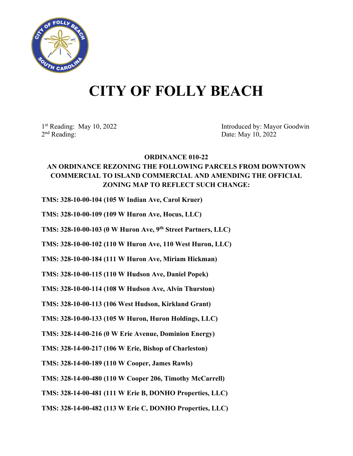

## **CITY OF FOLLY BEACH**

1st Reading: May 10, 2022<br>
2<sup>nd</sup> Reading: Date: May 10, 2022<br>
2<sup>nd</sup> Reading: Date: May 10, 2022 Date: May 10, 2022

## **ORDINANCE 010-22 AN ORDINANCE REZONING THE FOLLOWING PARCELS FROM DOWNTOWN COMMERCIAL TO ISLAND COMMERCIAL AND AMENDING THE OFFICIAL ZONING MAP TO REFLECT SUCH CHANGE:**

**TMS: 328-10-00-104 (105 W Indian Ave, Carol Kruer)**

**TMS: 328-10-00-109 (109 W Huron Ave, Hocus, LLC)**

**TMS: 328-10-00-103 (0 W Huron Ave, 9th Street Partners, LLC)**

**TMS: 328-10-00-102 (110 W Huron Ave, 110 West Huron, LLC)**

**TMS: 328-10-00-184 (111 W Huron Ave, Miriam Hickman)**

**TMS: 328-10-00-115 (110 W Hudson Ave, Daniel Popek)**

**TMS: 328-10-00-114 (108 W Hudson Ave, Alvin Thurston)**

**TMS: 328-10-00-113 (106 West Hudson, Kirkland Grant)**

**TMS: 328-10-00-133 (105 W Huron, Huron Holdings, LLC)**

**TMS: 328-14-00-216 (0 W Erie Avenue, Dominion Energy)**

**TMS: 328-14-00-217 (106 W Erie, Bishop of Charleston)**

**TMS: 328-14-00-189 (110 W Cooper, James Rawls)**

**TMS: 328-14-00-480 (110 W Cooper 206, Timothy McCarrell)**

**TMS: 328-14-00-481 (111 W Erie B, DONHO Properties, LLC)**

**TMS: 328-14-00-482 (113 W Erie C, DONHO Properties, LLC)**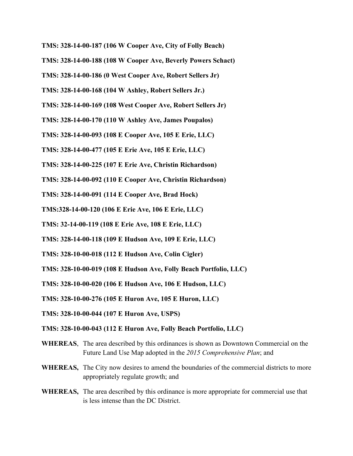- **TMS: 328-14-00-187 (106 W Cooper Ave, City of Folly Beach)**
- **TMS: 328-14-00-188 (108 W Cooper Ave, Beverly Powers Schact)**
- **TMS: 328-14-00-186 (0 West Cooper Ave, Robert Sellers Jr)**
- **TMS: 328-14-00-168 (104 W Ashley, Robert Sellers Jr.)**
- **TMS: 328-14-00-169 (108 West Cooper Ave, Robert Sellers Jr)**
- **TMS: 328-14-00-170 (110 W Ashley Ave, James Poupalos)**
- **TMS: 328-14-00-093 (108 E Cooper Ave, 105 E Erie, LLC)**
- **TMS: 328-14-00-477 (105 E Erie Ave, 105 E Erie, LLC)**
- **TMS: 328-14-00-225 (107 E Erie Ave, Christin Richardson)**
- **TMS: 328-14-00-092 (110 E Cooper Ave, Christin Richardson)**
- **TMS: 328-14-00-091 (114 E Cooper Ave, Brad Hock)**
- **TMS:328-14-00-120 (106 E Erie Ave, 106 E Erie, LLC)**
- **TMS: 32-14-00-119 (108 E Erie Ave, 108 E Erie, LLC)**
- **TMS: 328-14-00-118 (109 E Hudson Ave, 109 E Erie, LLC)**
- **TMS: 328-10-00-018 (112 E Hudson Ave, Colin Cigler)**
- **TMS: 328-10-00-019 (108 E Hudson Ave, Folly Beach Portfolio, LLC)**
- **TMS: 328-10-00-020 (106 E Hudson Ave, 106 E Hudson, LLC)**
- **TMS: 328-10-00-276 (105 E Huron Ave, 105 E Huron, LLC)**
- **TMS: 328-10-00-044 (107 E Huron Ave, USPS)**

## **TMS: 328-10-00-043 (112 E Huron Ave, Folly Beach Portfolio, LLC)**

- **WHEREAS**, The area described by this ordinances is shown as Downtown Commercial on the Future Land Use Map adopted in the *2015 Comprehensive Plan*; and
- **WHEREAS,** The City now desires to amend the boundaries of the commercial districts to more appropriately regulate growth; and
- **WHEREAS,** The area described by this ordinance is more appropriate for commercial use that is less intense than the DC District.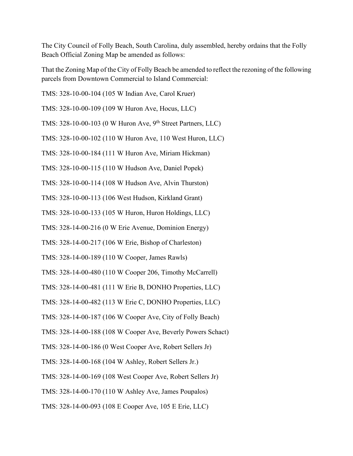The City Council of Folly Beach, South Carolina, duly assembled, hereby ordains that the Folly Beach Official Zoning Map be amended as follows:

That the Zoning Map of the City of Folly Beach be amended to reflect the rezoning of the following parcels from Downtown Commercial to Island Commercial:

TMS: 328-10-00-104 (105 W Indian Ave, Carol Kruer)

TMS: 328-10-00-109 (109 W Huron Ave, Hocus, LLC)

TMS:  $328-10-00-103$  (0 W Huron Ave, 9<sup>th</sup> Street Partners, LLC)

TMS: 328-10-00-102 (110 W Huron Ave, 110 West Huron, LLC)

TMS: 328-10-00-184 (111 W Huron Ave, Miriam Hickman)

TMS: 328-10-00-115 (110 W Hudson Ave, Daniel Popek)

TMS: 328-10-00-114 (108 W Hudson Ave, Alvin Thurston)

TMS: 328-10-00-113 (106 West Hudson, Kirkland Grant)

TMS: 328-10-00-133 (105 W Huron, Huron Holdings, LLC)

TMS: 328-14-00-216 (0 W Erie Avenue, Dominion Energy)

TMS: 328-14-00-217 (106 W Erie, Bishop of Charleston)

TMS: 328-14-00-189 (110 W Cooper, James Rawls)

TMS: 328-14-00-480 (110 W Cooper 206, Timothy McCarrell)

TMS: 328-14-00-481 (111 W Erie B, DONHO Properties, LLC)

TMS: 328-14-00-482 (113 W Erie C, DONHO Properties, LLC)

TMS: 328-14-00-187 (106 W Cooper Ave, City of Folly Beach)

TMS: 328-14-00-188 (108 W Cooper Ave, Beverly Powers Schact)

TMS: 328-14-00-186 (0 West Cooper Ave, Robert Sellers Jr)

TMS: 328-14-00-168 (104 W Ashley, Robert Sellers Jr.)

TMS: 328-14-00-169 (108 West Cooper Ave, Robert Sellers Jr)

TMS: 328-14-00-170 (110 W Ashley Ave, James Poupalos)

TMS: 328-14-00-093 (108 E Cooper Ave, 105 E Erie, LLC)